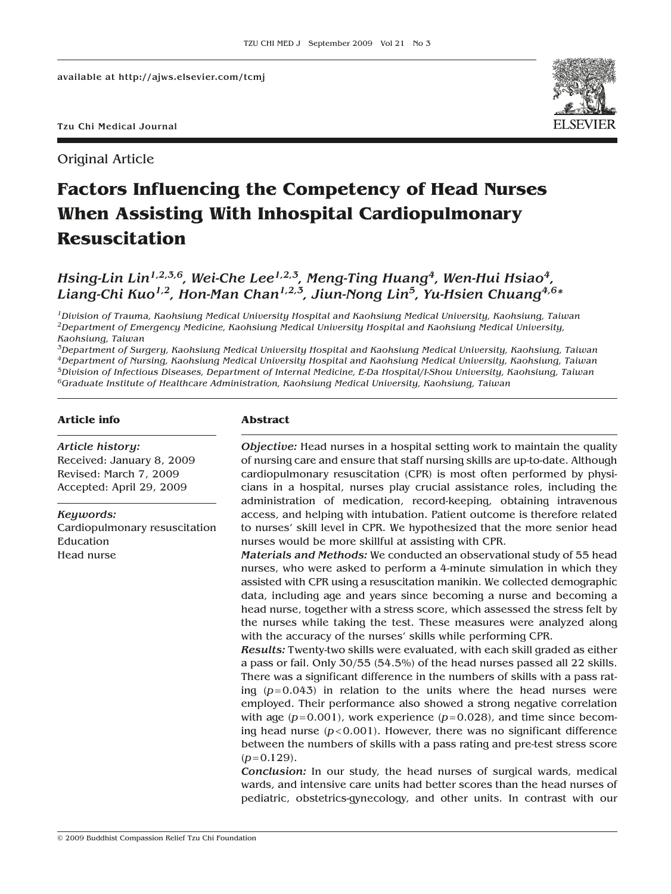Tzu Chi Medical Journal

Original Article



# **Factors Influencing the Competency of Head Nurses When Assisting With Inhospital Cardiopulmonary Resuscitation**

# *Hsing-Lin Lin1,2,3,6, Wei-Che Lee1,2,3, Meng-Ting Huang4, Wen-Hui Hsiao4, Liang-Chi Kuo1,2, Hon-Man Chan1,2,3, Jiun-Nong Lin5, Yu-Hsien Chuang4,6\**

*1Division of Trauma, Kaohsiung Medical University Hospital and Kaohsiung Medical University, Kaohsiung, Taiwan 2Department of Emergency Medicine, Kaohsiung Medical University Hospital and Kaohsiung Medical University, Kaohsiung, Taiwan*

*3Department of Surgery, Kaohsiung Medical University Hospital and Kaohsiung Medical University, Kaohsiung, Taiwan 4Department of Nursing, Kaohsiung Medical University Hospital and Kaohsiung Medical University, Kaohsiung, Taiwan 5Division of Infectious Diseases, Department of Internal Medicine, E-Da Hospital/I-Shou University, Kaohsiung, Taiwan 6Graduate Institute of Healthcare Administration, Kaohsiung Medical University, Kaohsiung, Taiwan*

### **Article info**

*Article history:* Received: January 8, 2009 Revised: March 7, 2009 Accepted: April 29, 2009

*Keywords:*

Cardiopulmonary resuscitation Education Head nurse

### **Abstract**

*Objective:* Head nurses in a hospital setting work to maintain the quality of nursing care and ensure that staff nursing skills are up-to-date. Although cardiopulmonary resuscitation (CPR) is most often performed by physicians in a hospital, nurses play crucial assistance roles, including the administration of medication, record-keeping, obtaining intravenous access, and helping with intubation. Patient outcome is therefore related to nurses' skill level in CPR. We hypothesized that the more senior head nurses would be more skillful at assisting with CPR.

*Materials and Methods:* We conducted an observational study of 55 head nurses, who were asked to perform a 4-minute simulation in which they assisted with CPR using a resuscitation manikin. We collected demographic data, including age and years since becoming a nurse and becoming a head nurse, together with a stress score, which assessed the stress felt by the nurses while taking the test. These measures were analyzed along with the accuracy of the nurses' skills while performing CPR.

*Results:* Twenty-two skills were evaluated, with each skill graded as either a pass or fail. Only 30/55 (54.5%) of the head nurses passed all 22 skills. There was a significant difference in the numbers of skills with a pass rating  $(p=0.043)$  in relation to the units where the head nurses were employed. Their performance also showed a strong negative correlation with age  $(p=0.001)$ , work experience  $(p=0.028)$ , and time since becoming head nurse (*p* < 0.001). However, there was no significant difference between the numbers of skills with a pass rating and pre-test stress score  $(p=0.129)$ .

*Conclusion:* In our study, the head nurses of surgical wards, medical wards, and intensive care units had better scores than the head nurses of pediatric, obstetrics-gynecology, and other units. In contrast with our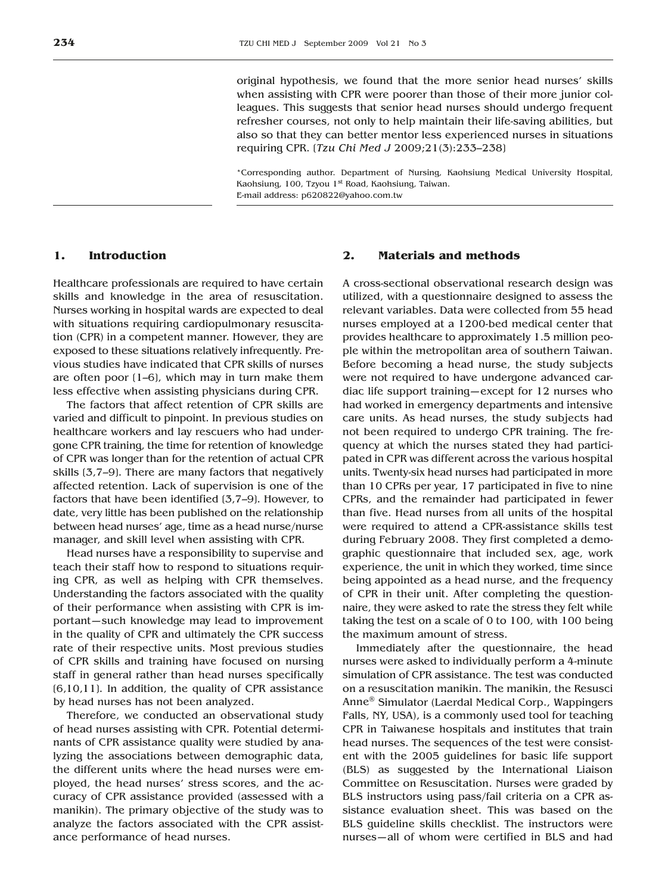original hypothesis, we found that the more senior head nurses' skills when assisting with CPR were poorer than those of their more junior colleagues. This suggests that senior head nurses should undergo frequent refresher courses, not only to help maintain their life-saving abilities, but also so that they can better mentor less experienced nurses in situations requiring CPR. [*Tzu Chi Med J* 2009;21(3):233–238]

\*Corresponding author. Department of Nursing, Kaohsiung Medical University Hospital, Kaohsiung, 100, Tzyou 1st Road, Kaohsiung, Taiwan. E-mail address: p620822@yahoo.com.tw

#### **1. Introduction**

Healthcare professionals are required to have certain skills and knowledge in the area of resuscitation. Nurses working in hospital wards are expected to deal with situations requiring cardiopulmonary resuscitation (CPR) in a competent manner. However, they are exposed to these situations relatively infrequently. Previous studies have indicated that CPR skills of nurses are often poor [1–6], which may in turn make them less effective when assisting physicians during CPR.

The factors that affect retention of CPR skills are varied and difficult to pinpoint. In previous studies on healthcare workers and lay rescuers who had undergone CPR training, the time for retention of knowledge of CPR was longer than for the retention of actual CPR skills [3,7–9]. There are many factors that negatively affected retention. Lack of supervision is one of the factors that have been identified [3,7–9]. However, to date, very little has been published on the relationship between head nurses' age, time as a head nurse/nurse manager, and skill level when assisting with CPR.

Head nurses have a responsibility to supervise and teach their staff how to respond to situations requiring CPR, as well as helping with CPR themselves. Understanding the factors associated with the quality of their performance when assisting with CPR is important—such knowledge may lead to improvement in the quality of CPR and ultimately the CPR success rate of their respective units. Most previous studies of CPR skills and training have focused on nursing staff in general rather than head nurses specifically  $(6,10,11)$ . In addition, the quality of CPR assistance by head nurses has not been analyzed.

Therefore, we conducted an observational study of head nurses assisting with CPR. Potential determinants of CPR assistance quality were studied by analyzing the associations between demographic data, the different units where the head nurses were employed, the head nurses' stress scores, and the accuracy of CPR assistance provided (assessed with a manikin). The primary objective of the study was to analyze the factors associated with the CPR assistance performance of head nurses.

#### **2. Materials and methods**

A cross-sectional observational research design was utilized, with a questionnaire designed to assess the relevant variables. Data were collected from 55 head nurses employed at a 1200-bed medical center that provides healthcare to approximately 1.5 million people within the metropolitan area of southern Taiwan. Before becoming a head nurse, the study subjects were not required to have undergone advanced cardiac life support training—except for 12 nurses who had worked in emergency departments and intensive care units. As head nurses, the study subjects had not been required to undergo CPR training. The frequency at which the nurses stated they had participated in CPR was different across the various hospital units. Twenty-six head nurses had participated in more than 10 CPRs per year, 17 participated in five to nine CPRs, and the remainder had participated in fewer than five. Head nurses from all units of the hospital were required to attend a CPR-assistance skills test during February 2008. They first completed a demographic questionnaire that included sex, age, work experience, the unit in which they worked, time since being appointed as a head nurse, and the frequency of CPR in their unit. After completing the questionnaire, they were asked to rate the stress they felt while taking the test on a scale of 0 to 100, with 100 being the maximum amount of stress.

Immediately after the questionnaire, the head nurses were asked to individually perform a 4-minute simulation of CPR assistance. The test was conducted on a resuscitation manikin. The manikin, the Resusci Anne® Simulator (Laerdal Medical Corp., Wappingers Falls, NY, USA), is a commonly used tool for teaching CPR in Taiwanese hospitals and institutes that train head nurses. The sequences of the test were consistent with the 2005 guidelines for basic life support (BLS) as suggested by the International Liaison Committee on Resuscitation. Nurses were graded by BLS instructors using pass/fail criteria on a CPR assistance evaluation sheet. This was based on the BLS guideline skills checklist. The instructors were nurses—all of whom were certified in BLS and had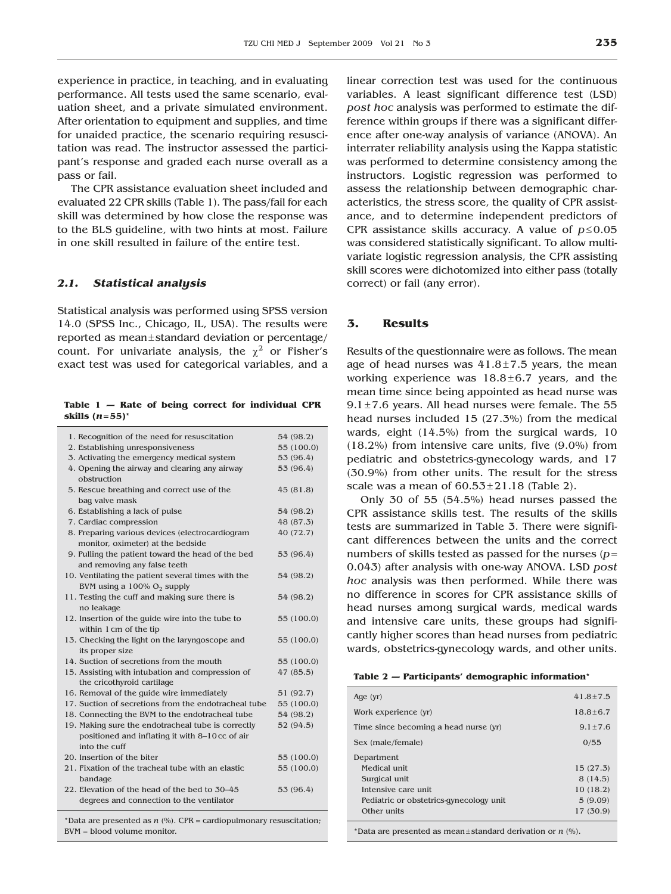experience in practice, in teaching, and in evaluating performance. All tests used the same scenario, evaluation sheet, and a private simulated environment. After orientation to equipment and supplies, and time for unaided practice, the scenario requiring resuscitation was read. The instructor assessed the participant's response and graded each nurse overall as a pass or fail.

The CPR assistance evaluation sheet included and evaluated 22 CPR skills (Table 1). The pass/fail for each skill was determined by how close the response was to the BLS guideline, with two hints at most. Failure in one skill resulted in failure of the entire test.

#### *2.1. Statistical analysis*

Statistical analysis was performed using SPSS version 14.0 (SPSS Inc., Chicago, IL, USA). The results were reported as mean ± standard deviation or percentage/ count. For univariate analysis, the  $\chi^2$  or Fisher's exact test was used for categorical variables, and a

**Table 1 — Rate of being correct for individual CPR skills (***n***= 55)\***

| 1. Recognition of the need for resuscitation                       | 54 (98.2)  |  |
|--------------------------------------------------------------------|------------|--|
| 2. Establishing unresponsiveness                                   | 55 (100.0) |  |
| 3. Activating the emergency medical system                         | 53 (96.4)  |  |
| 4. Opening the airway and clearing any airway                      | 53 (96.4)  |  |
| obstruction                                                        |            |  |
| 5. Rescue breathing and correct use of the                         | 45 (81.8)  |  |
| bag valve mask                                                     |            |  |
| 6. Establishing a lack of pulse                                    | 54 (98.2)  |  |
| 7. Cardiac compression                                             | 48 (87.3)  |  |
| 8. Preparing various devices (electrocardiogram                    | 40 (72.7)  |  |
| monitor, oximeter) at the bedside                                  |            |  |
| 9. Pulling the patient toward the head of the bed                  | 53 (96.4)  |  |
| and removing any false teeth                                       |            |  |
| 10. Ventilating the patient several times with the                 | 54 (98.2)  |  |
| BVM using a 100% $O_2$ supply                                      |            |  |
| 11. Testing the cuff and making sure there is                      | 54 (98.2)  |  |
| no leakage                                                         |            |  |
| 12. Insertion of the guide wire into the tube to                   | 55 (100.0) |  |
| within 1 cm of the tip                                             |            |  |
| 13. Checking the light on the laryngoscope and                     | 55 (100.0) |  |
| its proper size                                                    |            |  |
| 14. Suction of secretions from the mouth                           | 55 (100.0) |  |
| 15. Assisting with intubation and compression of                   | 47 (85.5)  |  |
| the cricothyroid cartilage                                         |            |  |
| 16. Removal of the guide wire immediately                          | 51 (92.7)  |  |
| 17. Suction of secretions from the endotracheal tube               | 55 (100.0) |  |
| 18. Connecting the BVM to the endotracheal tube                    | 54 (98.2)  |  |
| 19. Making sure the endotracheal tube is correctly                 | 52 (94.5)  |  |
| positioned and inflating it with 8-10cc of air                     |            |  |
| into the cuff                                                      |            |  |
| 20. Insertion of the biter                                         | 55 (100.0) |  |
| 21. Fixation of the tracheal tube with an elastic                  | 55 (100.0) |  |
| bandage                                                            |            |  |
| 22. Elevation of the head of the bed to 30-45                      | 53 (96.4)  |  |
| degrees and connection to the ventilator                           |            |  |
| *Data are presented as $p(0)$ CPR – cardiopulmenary resuscitation. |            |  |

\*Data are presented as *n* (%). CPR = cardiopulmonary resuscitation; BVM = blood volume monitor.

linear correction test was used for the continuous variables. A least significant difference test (LSD) *post hoc* analysis was performed to estimate the difference within groups if there was a significant difference after one-way analysis of variance (ANOVA). An interrater reliability analysis using the Kappa statistic was performed to determine consistency among the instructors. Logistic regression was performed to assess the relationship between demographic characteristics, the stress score, the quality of CPR assistance, and to determine independent predictors of CPR assistance skills accuracy. A value of *p*≤ 0.05 was considered statistically significant. To allow multivariate logistic regression analysis, the CPR assisting skill scores were dichotomized into either pass (totally correct) or fail (any error).

#### **3. Results**

Results of the questionnaire were as follows. The mean age of head nurses was  $41.8 \pm 7.5$  years, the mean working experience was  $18.8 \pm 6.7$  years, and the mean time since being appointed as head nurse was  $9.1 \pm 7.6$  years. All head nurses were female. The 55 head nurses included 15 (27.3%) from the medical wards, eight (14.5%) from the surgical wards, 10 (18.2%) from intensive care units, five (9.0%) from pediatric and obstetrics-gynecology wards, and 17 (30.9%) from other units. The result for the stress scale was a mean of  $60.53 \pm 21.18$  (Table 2).

Only 30 of 55 (54.5%) head nurses passed the CPR assistance skills test. The results of the skills tests are summarized in Table 3. There were significant differences between the units and the correct numbers of skills tested as passed for the nurses (*p* = 0.043) after analysis with one-way ANOVA. LSD *post hoc* analysis was then performed. While there was no difference in scores for CPR assistance skills of head nurses among surgical wards, medical wards and intensive care units, these groups had significantly higher scores than head nurses from pediatric wards, obstetrics-gynecology wards, and other units.

| Table 2 — Participants' demographic information* |  |  |
|--------------------------------------------------|--|--|
|--------------------------------------------------|--|--|

| Age $(yr)$                              | $41.8 + 7.5$ |
|-----------------------------------------|--------------|
| Work experience (yr)                    | $18.8 + 6.7$ |
| Time since becoming a head nurse (yr)   | $9.1 + 7.6$  |
| Sex (male/female)                       | 0/55         |
| Department                              |              |
| Medical unit                            | 15(27.3)     |
| Surgical unit                           | 8(14.5)      |
| Intensive care unit                     | 10(18.2)     |
| Pediatric or obstetrics-gynecology unit | 5(9.09)      |
| Other units                             | 17 (30.9)    |
|                                         |              |

\*Data are presented as mean ± standard derivation or *n* (%).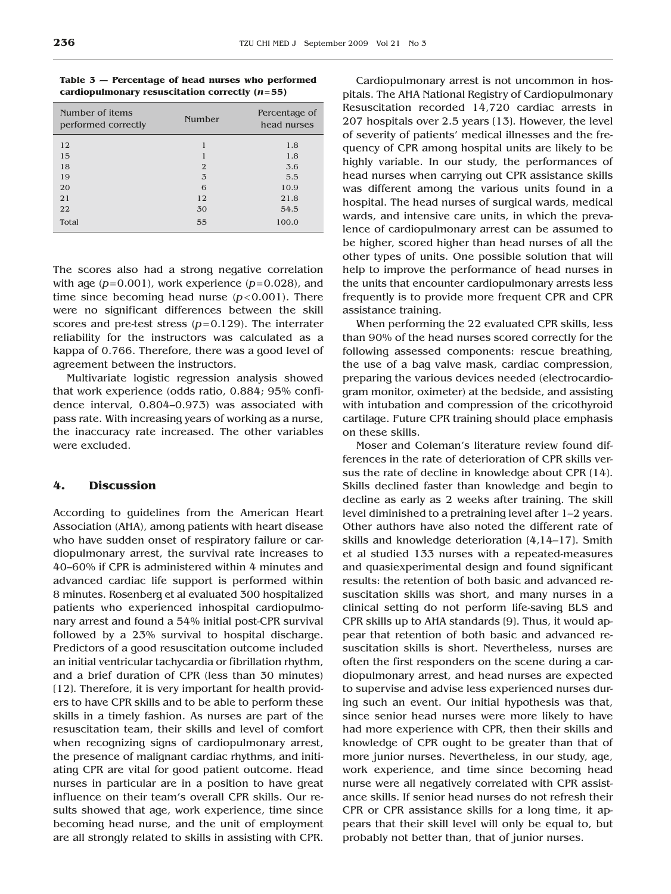**Table 3 — Percentage of head nurses who performed cardiopulmonary resuscitation correctly (***n***= 55)**

| Number of items<br>performed correctly | <b>Number</b>  | Percentage of<br>head nurses |
|----------------------------------------|----------------|------------------------------|
| 12                                     |                | 1.8                          |
| 15                                     |                | 1.8                          |
| 18                                     | $\overline{2}$ | 3.6                          |
| 19                                     | $\overline{3}$ | 5.5                          |
| 20                                     | 6              | 10.9                         |
| 21                                     | 12             | 21.8                         |
| 22                                     | 30             | 54.5                         |
| Total                                  | 55             | 100.0                        |

The scores also had a strong negative correlation with age ( $p = 0.001$ ), work experience ( $p = 0.028$ ), and time since becoming head nurse  $(p<0.001)$ . There were no significant differences between the skill scores and pre-test stress  $(p=0.129)$ . The interrater reliability for the instructors was calculated as a kappa of 0.766. Therefore, there was a good level of agreement between the instructors.

Multivariate logistic regression analysis showed that work experience (odds ratio, 0.884; 95% confidence interval, 0.804–0.973) was associated with pass rate. With increasing years of working as a nurse, the inaccuracy rate increased. The other variables were excluded.

#### **4. Discussion**

According to guidelines from the American Heart Association (AHA), among patients with heart disease who have sudden onset of respiratory failure or cardiopulmonary arrest, the survival rate increases to 40–60% if CPR is administered within 4 minutes and advanced cardiac life support is performed within 8 minutes. Rosenberg et al evaluated 300 hospitalized patients who experienced inhospital cardiopulmonary arrest and found a 54% initial post-CPR survival followed by a 23% survival to hospital discharge. Predictors of a good resuscitation outcome included an initial ventricular tachycardia or fibrillation rhythm, and a brief duration of CPR (less than 30 minutes) [12]. Therefore, it is very important for health providers to have CPR skills and to be able to perform these skills in a timely fashion. As nurses are part of the resuscitation team, their skills and level of comfort when recognizing signs of cardiopulmonary arrest, the presence of malignant cardiac rhythms, and initiating CPR are vital for good patient outcome. Head nurses in particular are in a position to have great influence on their team's overall CPR skills. Our results showed that age, work experience, time since becoming head nurse, and the unit of employment are all strongly related to skills in assisting with CPR.

Cardiopulmonary arrest is not uncommon in hospitals. The AHA National Registry of Cardiopulmonary Resuscitation recorded 14,720 cardiac arrests in 207 hospitals over 2.5 years [13]. However, the level of severity of patients' medical illnesses and the frequency of CPR among hospital units are likely to be highly variable. In our study, the performances of head nurses when carrying out CPR assistance skills was different among the various units found in a hospital. The head nurses of surgical wards, medical wards, and intensive care units, in which the prevalence of cardiopulmonary arrest can be assumed to be higher, scored higher than head nurses of all the other types of units. One possible solution that will help to improve the performance of head nurses in the units that encounter cardiopulmonary arrests less frequently is to provide more frequent CPR and CPR assistance training.

When performing the 22 evaluated CPR skills, less than 90% of the head nurses scored correctly for the following assessed components: rescue breathing, the use of a bag valve mask, cardiac compression, preparing the various devices needed (electrocardiogram monitor, oximeter) at the bedside, and assisting with intubation and compression of the cricothyroid cartilage. Future CPR training should place emphasis on these skills.

Moser and Coleman's literature review found differences in the rate of deterioration of CPR skills versus the rate of decline in knowledge about CPR [14]. Skills declined faster than knowledge and begin to decline as early as 2 weeks after training. The skill level diminished to a pretraining level after 1–2 years. Other authors have also noted the different rate of skills and knowledge deterioration [4,14–17]. Smith et al studied 133 nurses with a repeated-measures and quasiexperimental design and found significant results: the retention of both basic and advanced resuscitation skills was short, and many nurses in a clinical setting do not perform life-saving BLS and CPR skills up to AHA standards [9]. Thus, it would appear that retention of both basic and advanced resuscitation skills is short. Nevertheless, nurses are often the first responders on the scene during a cardiopulmonary arrest, and head nurses are expected to supervise and advise less experienced nurses during such an event. Our initial hypothesis was that, since senior head nurses were more likely to have had more experience with CPR, then their skills and knowledge of CPR ought to be greater than that of more junior nurses. Nevertheless, in our study, age, work experience, and time since becoming head nurse were all negatively correlated with CPR assistance skills. If senior head nurses do not refresh their CPR or CPR assistance skills for a long time, it appears that their skill level will only be equal to, but probably not better than, that of junior nurses.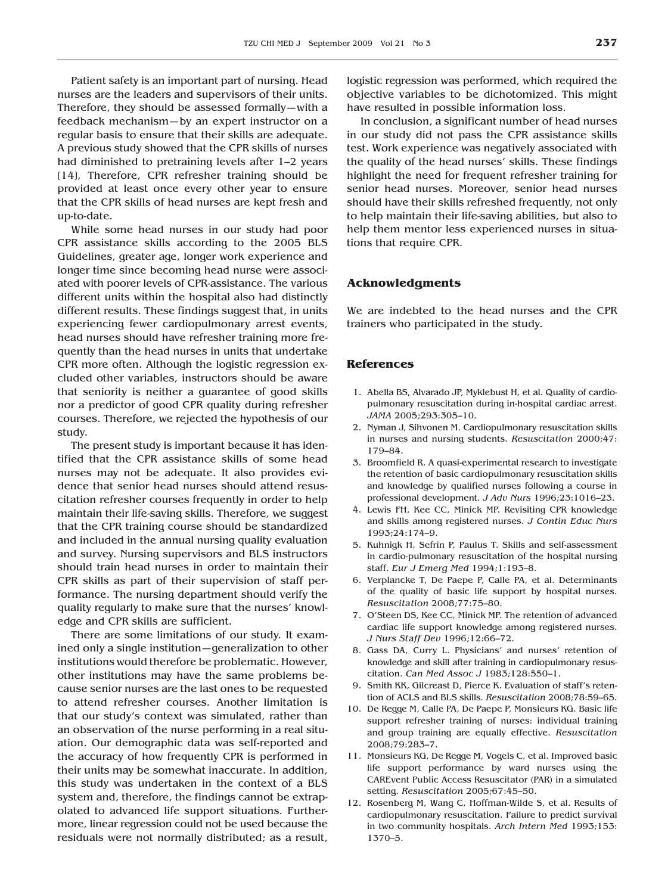Patient safety is an important part of nursing. Head nurses are the leaders and supervisors of their units. Therefore, they should be assessed formally—with a feedback mechanism—by an expert instructor on a regular basis to ensure that their skills are adequate. A previous study showed that the CPR skills of nurses had diminished to pretraining levels after 1–2 years [14], Therefore, CPR refresher training should be provided at least once every other year to ensure that the CPR skills of head nurses are kept fresh and up-to-date.

While some head nurses in our study had poor CPR assistance skills according to the 2005 BLS Guidelines, greater age, longer work experience and longer time since becoming head nurse were associated with poorer levels of CPR-assistance. The various different units within the hospital also had distinctly different results. These findings suggest that, in units experiencing fewer cardiopulmonary arrest events, head nurses should have refresher training more frequently than the head nurses in units that undertake CPR more often. Although the logistic regression excluded other variables, instructors should be aware that seniority is neither a guarantee of good skills nor a predictor of good CPR quality during refresher courses. Therefore, we rejected the hypothesis of our study.

The present study is important because it has identified that the CPR assistance skills of some head nurses may not be adequate. It also provides evidence that senior head nurses should attend resuscitation refresher courses frequently in order to help maintain their life-saving skills. Therefore, we suggest that the CPR training course should be standardized and included in the annual nursing quality evaluation and survey. Nursing supervisors and BLS instructors should train head nurses in order to maintain their CPR skills as part of their supervision of staff performance. The nursing department should verify the quality regularly to make sure that the nurses' knowledge and CPR skills are sufficient.

There are some limitations of our study. It examined only a single institution—generalization to other institutions would therefore be problematic. However, other institutions may have the same problems because senior nurses are the last ones to be requested to attend refresher courses. Another limitation is that our study's context was simulated, rather than an observation of the nurse performing in a real situation. Our demographic data was self-reported and the accuracy of how frequently CPR is performed in their units may be somewhat inaccurate. In addition, this study was undertaken in the context of a BLS system and, therefore, the findings cannot be extrapolated to advanced life support situations. Furthermore, linear regression could not be used because the residuals were not normally distributed; as a result,

logistic regression was performed, which required the objective variables to be dichotomized. This might have resulted in possible information loss.

In conclusion, a significant number of head nurses in our study did not pass the CPR assistance skills test. Work experience was negatively associated with the quality of the head nurses' skills. These findings highlight the need for frequent refresher training for senior head nurses. Moreover, senior head nurses should have their skills refreshed frequently, not only to help maintain their life-saving abilities, but also to help them mentor less experienced nurses in situations that require CPR.

## **Acknowledgments**

We are indebted to the head nurses and the CPR trainers who participated in the study.

#### **References**

- 1. Abella BS, Alvarado JP, Myklebust H, et al. Quality of cardiopulmonary resuscitation during in-hospital cardiac arrest. *JAMA* 2005;293:305–10.
- 2. Nyman J, Sihvonen M. Cardiopulmonary resuscitation skills in nurses and nursing students. *Resuscitation* 2000;47: 179–84.
- 3. Broomfield R. A quasi-experimental research to investigate the retention of basic cardiopulmonary resuscitation skills and knowledge by qualified nurses following a course in professional development. *J Adv Nurs* 1996;23:1016–23.
- 4. Lewis FH, Kee CC, Minick MP. Revisiting CPR knowledge and skills among registered nurses. *J Contin Educ Nurs* 1993;24:174–9.
- 5. Kuhnigk H, Sefrin P, Paulus T. Skills and self-assessment in cardio-pulmonary resuscitation of the hospital nursing staff. *Eur J Emerg Med* 1994;1:193–8.
- 6. Verplancke T, De Paepe P, Calle PA, et al. Determinants of the quality of basic life support by hospital nurses. *Resuscitation* 2008;77:75–80.
- 7. O'Steen DS, Kee CC, Minick MP. The retention of advanced cardiac life support knowledge among registered nurses. *J Nurs Staff Dev* 1996;12:66–72.
- 8. Gass DA, Curry L. Physicians' and nurses' retention of knowledge and skill after training in cardiopulmonary resuscitation. *Can Med Assoc J* 1983;128:550–1.
- 9. Smith KK, Gilcreast D, Pierce K. Evaluation of staff's retention of ACLS and BLS skills. *Resuscitation* 2008;78:59–65.
- 10. De Regge M, Calle PA, De Paepe P, Monsieurs KG. Basic life support refresher training of nurses: individual training and group training are equally effective. *Resuscitation* 2008;79:283–7.
- 11. Monsieurs KG, De Regge M, Vogels C, et al. Improved basic life support performance by ward nurses using the CAREvent Public Access Resuscitator (PAR) in a simulated setting. *Resuscitation* 2005;67:45–50.
- 12. Rosenberg M, Wang C, Hoffman-Wilde S, et al. Results of cardiopulmonary resuscitation. Failure to predict survival in two community hospitals. *Arch Intern Med* 1993;153: 1370–5.